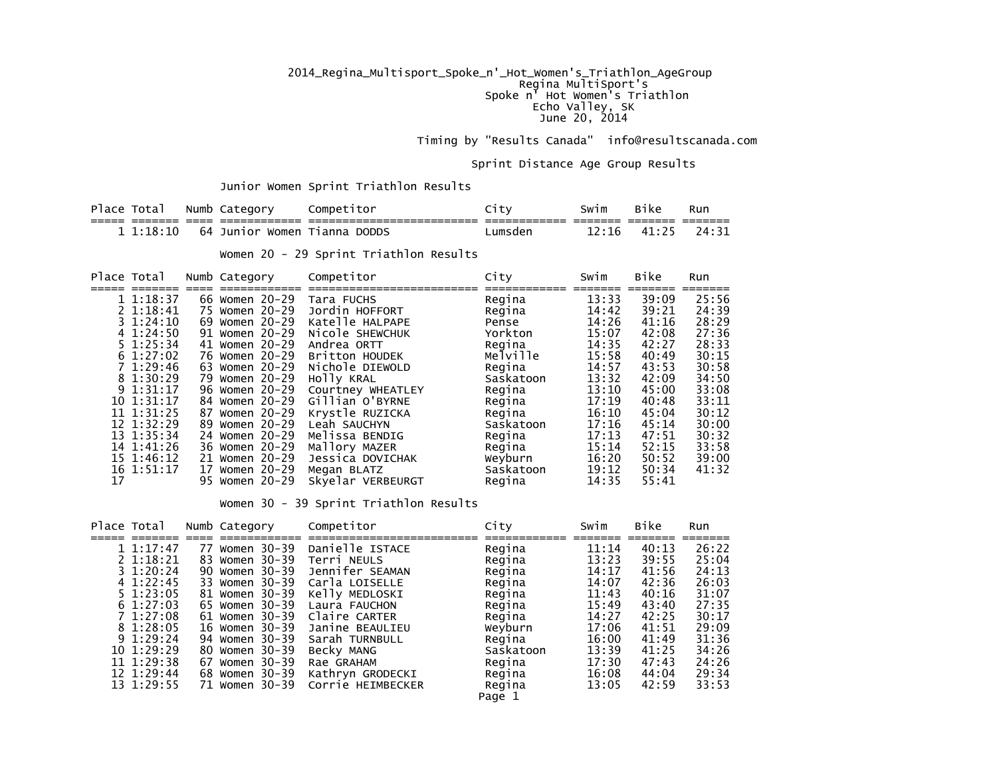## 2014\_Regina\_Multisport\_Spoke\_n'\_Hot\_Women's\_Triathlon\_AgeGroup Regina MultiSport's Spoke n' Hot Women's Triathlon Echo Valley, SK June 20, 2014

Timing by "Results Canada" info@resultscanada.com

Sprint Distance Age Group Results

Junior Women Sprint Triathlon Results

| Place |       | Numb | ⊤ิล†<br>eaor <sup>.</sup> | ombe<br>το                         | -      | Swim                  | 21ke - | Run                         |
|-------|-------|------|---------------------------|------------------------------------|--------|-----------------------|--------|-----------------------------|
|       |       |      | _____                     | _______<br>_______<br>_____<br>___ | ____   | ___                   | ____   | -----<br>___<br>_____<br>__ |
|       | $-18$ | 64   | Junior<br>Women           | DODDS<br>ranna                     | umsder | ירי<br>$\overline{a}$ | 4      | 74 -                        |

Women 20 - 29 Sprint Triathlon Results

|    | Place Total   |    | Numb Category  | Competitor        | City |           | Swim  | <b>Bike</b> | Run   |
|----|---------------|----|----------------|-------------------|------|-----------|-------|-------------|-------|
|    | 1 1:18:37     | 66 | Women 20-29    | Tara FUCHS        |      | Regina    | 13:33 | 39:09       | 25:56 |
|    | 2 1:18:41     | 75 | Women 20-29    | Jordin HOFFORT    |      | Regina    | 14:42 | 39:21       | 24:39 |
|    | $3 \t1:24:10$ | 69 | Women 20-29    | Katelle HALPAPE   |      | Pense     | 14:26 | 41:16       | 28:29 |
|    | 41:24:50      |    | 91 Women 20-29 | Nicole SHEWCHUK   |      | Yorkton   | 15:07 | 42:08       | 27:36 |
|    | $5 \t1:25:34$ |    | 41 Women 20-29 | Andrea ORTT       |      | Regina    | 14:35 | 42:27       | 28:33 |
|    | 61:27:02      |    | 76 Women 20-29 | Britton HOUDEK    |      | Melville  | 15:58 | 40:49       | 30:15 |
|    | 71:29:46      | 63 | Women 20-29    | Nichole DIEWOLD   |      | Regina    | 14:57 | 43:53       | 30:58 |
|    | 8 1:30:29     | 79 | Women 20-29    | HOLLY KRAL        |      | Saskatoon | 13:32 | 42:09       | 34:50 |
|    | $9\;1:31:17$  | 96 | Women 20-29    | Courtney WHEATLEY |      | Regina    | 13:10 | 45:00       | 33:08 |
|    | 10 1:31:17    | 84 | Women 20-29    | Gillian O'BYRNE   |      | Regina    | 17:19 | 40:48       | 33:11 |
|    | 11 1:31:25    |    | 87 Women 20-29 | Krystle RUZICKA   |      | Regina    | 16:10 | 45:04       | 30:12 |
|    | 12 1:32:29    |    | 89 Women 20-29 | Leah SAUCHYN      |      | Saskatoon | 17:16 | 45:14       | 30:00 |
|    | 13 1:35:34    |    | 24 Women 20-29 | Melissa BENDIG    |      | Regina    | 17:13 | 47:51       | 30:32 |
|    | 14 1:41:26    |    | 36 Women 20-29 | Mallory MAZER     |      | Regina    | 15:14 | 52:15       | 33:58 |
|    | 15 1:46:12    |    | 21 Women 20-29 | Jessica DOVICHAK  |      | Weyburn   | 16:20 | 50:52       | 39:00 |
|    | 16 1:51:17    |    | 17 Women 20-29 | Megan BLATZ       |      | Saskatoon | 19:12 | 50:34       | 41:32 |
| 17 |               |    | 95 Women 20-29 | Skyelar VERBEURGT |      | Regina    | 14:35 | 55:41       |       |

Women 30 - 39 Sprint Triathlon Results

| Place Total   |    | Numb Category  | Competitor        | City      | Swim  | Bike  | Run   |
|---------------|----|----------------|-------------------|-----------|-------|-------|-------|
| 11:17:47      | 77 | Women 30-39    | Danielle ISTACE   | Regina    | 11:14 | 40:13 | 26:22 |
| $2\;1:18:21$  |    | 83 Women 30-39 | Terri NEULS       | Regina    | 13:23 | 39:55 | 25:04 |
| $3 \t1:20:24$ |    | 90 Women 30-39 | Jennifer SEAMAN   | Regina    | 14:17 | 41:56 | 24:13 |
| 4 1:22:45     |    | 33 Women 30-39 | Carla LOISELLE    | Regina    | 14:07 | 42:36 | 26:03 |
| $5 \t1:23:05$ |    | 81 Women 30-39 | Kelly MEDLOSKI    | Regina    | 11:43 | 40:16 | 31:07 |
| $6\;1:27:03$  |    | 65 Women 30-39 | Laura FAUCHON     | Regina    | 15:49 | 43:40 | 27:35 |
| 7 1:27:08     |    | 61 Women 30-39 | Claire CARTER     | Regina    | 14:27 | 42:25 | 30:17 |
| 8 1:28:05     |    | 16 Women 30-39 | Janine BEAULIEU   | Weyburn   | 17:06 | 41:51 | 29:09 |
| 91:29:24      |    | 94 Women 30-39 | Sarah TURNBULL    | Regina    | 16:00 | 41:49 | 31:36 |
| 10 1:29:29    |    | 80 Women 30-39 | Becky MANG        | Saskatoon | 13:39 | 41:25 | 34:26 |
| 11 1:29:38    |    | 67 Women 30-39 | Rae GRAHAM        | Regina    | 17:30 | 47:43 | 24:26 |
| 12 1:29:44    |    | 68 Women 30-39 | Kathryn GRODECKI  | Regina    | 16:08 | 44:04 | 29:34 |
| 13 1:29:55    |    | 71 Women 30-39 | Corrie HEIMBECKER | Regina    | 13:05 | 42:59 | 33:53 |
|               |    |                |                   | Page 1    |       |       |       |